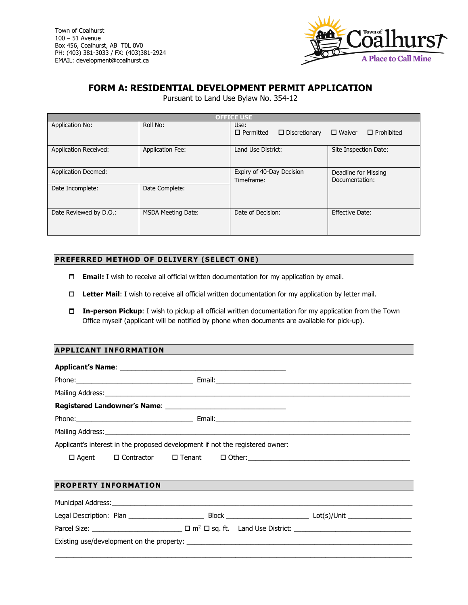

# **FORM A: RESIDENTIAL DEVELOPMENT PERMIT APPLICATION**

Pursuant to Land Use Bylaw No. 354-12

| <b>OFFICE USE</b>            |                           |                                                  |                                        |  |  |  |
|------------------------------|---------------------------|--------------------------------------------------|----------------------------------------|--|--|--|
| Application No:              | Roll No:                  | Use:<br>$\Box$ Permitted<br>$\Box$ Discretionary | $\Box$ Waiver<br>$\Box$ Prohibited     |  |  |  |
| <b>Application Received:</b> | <b>Application Fee:</b>   | Land Use District:                               | Site Inspection Date:                  |  |  |  |
| <b>Application Deemed:</b>   |                           | Expiry of 40-Day Decision<br>Timeframe:          | Deadline for Missing<br>Documentation: |  |  |  |
| Date Incomplete:             | Date Complete:            |                                                  |                                        |  |  |  |
| Date Reviewed by D.O.:       | <b>MSDA Meeting Date:</b> | Date of Decision:                                | Effective Date:                        |  |  |  |

# **PREFERRED METHOD OF DELIVERY (SELECT ONE)**

- **Email:** I wish to receive all official written documentation for my application by email.
- **Letter Mail**: I wish to receive all official written documentation for my application by letter mail.
- **In-person Pickup**: I wish to pickup all official written documentation for my application from the Town Office myself (applicant will be notified by phone when documents are available for pick-up).

# **APPLICANT INFORMATION**

| Applicant's interest in the proposed development if not the registered owner: |  |  |  |  |  |  |
|-------------------------------------------------------------------------------|--|--|--|--|--|--|
|                                                                               |  |  |  |  |  |  |
| <b>PROPERTY INFORMATION</b>                                                   |  |  |  |  |  |  |
|                                                                               |  |  |  |  |  |  |
|                                                                               |  |  |  |  |  |  |
|                                                                               |  |  |  |  |  |  |
|                                                                               |  |  |  |  |  |  |

\_\_\_\_\_\_\_\_\_\_\_\_\_\_\_\_\_\_\_\_\_\_\_\_\_\_\_\_\_\_\_\_\_\_\_\_\_\_\_\_\_\_\_\_\_\_\_\_\_\_\_\_\_\_\_\_\_\_\_\_\_\_\_\_\_\_\_\_\_\_\_\_\_\_\_\_\_\_\_\_\_\_\_\_\_\_\_\_\_\_\_\_\_\_\_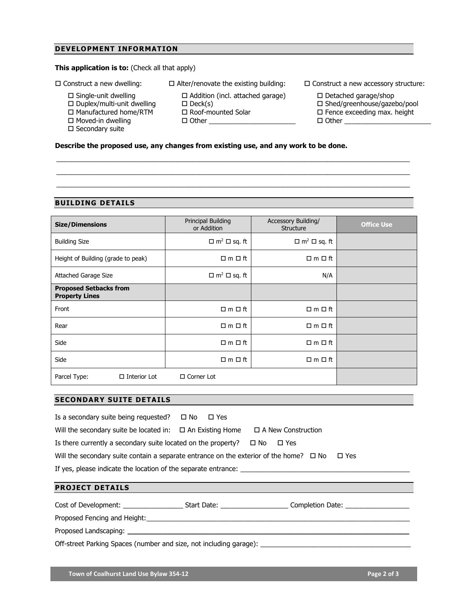# **DEVELOPMENT INFORMATION**

 $\square$  Duplex/multi-unit dwelling □ Manufactured home/RTM  $\square$  Moved-in dwelling  $\square$  Secondary suite

# **This application is to: (Check all that apply)**

- $\square$  Single-unit dwelling
- $\square$  Construct a new dwelling:  $\square$  Alter/renovate the existing building:  $\square$  Construct a new accessory structure:

□ Roof-mounted Solar  $\Box$  Other

□ Addition (incl. attached garage)

\_\_\_\_\_\_\_\_\_\_\_\_\_\_\_\_\_\_\_\_\_\_\_\_\_\_\_\_\_\_\_\_\_\_\_\_\_\_\_\_\_\_\_\_\_\_\_\_\_\_\_\_\_\_\_\_\_\_\_\_\_\_\_\_\_\_\_\_\_\_\_\_\_\_\_\_\_\_\_\_\_\_\_\_\_\_\_\_\_\_\_\_\_\_ \_\_\_\_\_\_\_\_\_\_\_\_\_\_\_\_\_\_\_\_\_\_\_\_\_\_\_\_\_\_\_\_\_\_\_\_\_\_\_\_\_\_\_\_\_\_\_\_\_\_\_\_\_\_\_\_\_\_\_\_\_\_\_\_\_\_\_\_\_\_\_\_\_\_\_\_\_\_\_\_\_\_\_\_\_\_\_\_\_\_\_\_\_\_ \_\_\_\_\_\_\_\_\_\_\_\_\_\_\_\_\_\_\_\_\_\_\_\_\_\_\_\_\_\_\_\_\_\_\_\_\_\_\_\_\_\_\_\_\_\_\_\_\_\_\_\_\_\_\_\_\_\_\_\_\_\_\_\_\_\_\_\_\_\_\_\_\_\_\_\_\_\_\_\_\_\_\_\_\_\_\_\_\_\_\_\_\_\_

- - $\square$  Detached garage/shop
	- □ Shed/greenhouse/gazebo/pool
	- $\square$  Fence exceeding max. height  $\Box$  Other
- **Describe the proposed use, any changes from existing use, and any work to be done.**

 $\square$  Deck(s)

#### **BUILDING DETAILS**

| <b>Size/Dimensions</b>                                 | Principal Building<br>or Addition   | Accessory Building/<br>Structure    | <b>Office Use</b> |
|--------------------------------------------------------|-------------------------------------|-------------------------------------|-------------------|
| <b>Building Size</b>                                   | $\Box$ m <sup>2</sup> $\Box$ sq. ft | $\Box$ m <sup>2</sup> $\Box$ sq. ft |                   |
| Height of Building (grade to peak)                     | $\square$ m $\square$ ft            | $\Box$ m $\Box$ ft                  |                   |
| <b>Attached Garage Size</b>                            | $\Box$ m <sup>2</sup> $\Box$ sq. ft | N/A                                 |                   |
| <b>Proposed Setbacks from</b><br><b>Property Lines</b> |                                     |                                     |                   |
| Front                                                  | $\Box$ m $\Box$ ft                  | $\square$ m $\square$ ft            |                   |
| Rear                                                   | $\Box$ m $\Box$ ft                  | $\Box$ m $\Box$ ft                  |                   |
| Side                                                   | $\Box$ m $\Box$ ft                  | $\Box$ m $\Box$ ft                  |                   |
| Side                                                   | $\Box$ m $\Box$ ft                  | $\Box$ m $\Box$ ft                  |                   |
| Parcel Type:<br>$\Box$ Interior Lot                    | $\Box$ Corner Lot                   |                                     |                   |

## **SECONDARY SUITE DETAILS**

| Is a secondary suite being requested? $\Box$ No $\Box$ Yes                                             |  |                           |  |  |  |
|--------------------------------------------------------------------------------------------------------|--|---------------------------|--|--|--|
| Will the secondary suite be located in: $\Box$ An Existing Home                                        |  | $\Box$ A New Construction |  |  |  |
| Is there currently a secondary suite located on the property?                                          |  | ⊟ No<br>⊟ Yes             |  |  |  |
| Will the secondary suite contain a separate entrance on the exterior of the home? $\Box$ No $\Box$ Yes |  |                           |  |  |  |
| If yes, please indicate the location of the separate entrance:                                         |  |                           |  |  |  |
|                                                                                                        |  |                           |  |  |  |
| <b>PROJECT DETAILS</b>                                                                                 |  |                           |  |  |  |

Cost of Development: \_\_\_\_\_\_\_\_\_\_\_\_\_\_\_\_ Start Date: \_\_\_\_\_\_\_\_\_\_\_\_\_\_\_\_\_\_ Completion Date: \_\_\_\_\_\_\_\_\_\_\_\_\_\_\_\_\_

Proposed Fencing and Height:

Proposed Landscaping: **\_\_\_\_\_\_\_\_\_\_\_\_\_\_\_\_\_\_\_\_\_\_\_\_\_\_\_\_\_\_\_\_\_\_\_\_\_\_\_\_\_\_\_\_\_\_\_\_\_\_\_\_\_\_\_\_\_\_\_\_\_\_\_\_**

Off-street Parking Spaces (number and size, not including garage): \_\_\_\_\_\_\_\_\_\_\_\_\_